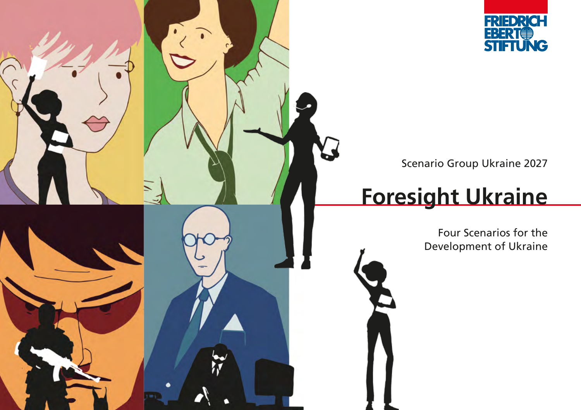

Scenario Group Ukraine 2027

# **Foresight Ukraine**

L

Four Scenarios for the Development of Ukraine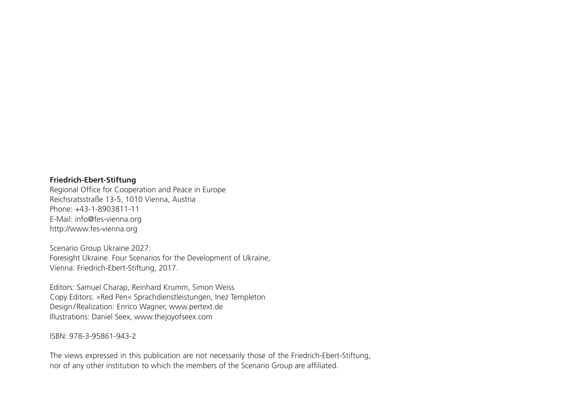#### **Friedrich-Ebert-Stiftung**

Regional Office for Cooperation and Peace in Europe Reichsratsstraße 13-5, 1010 Vienna, Austria Phone: +43-1-8903811-11 E-Mail: info@fes-vienna.org http://www.fes-vienna.org

Scenario Group Ukraine 2027: Foresight Ukraine. Four Scenarios for the Development of Ukraine, Vienna: Friedrich-Ebert-Stiftung, 2017.

Editors: Samuel Charap, Reinhard Krumm, Simon Weiss Copy Editors: »Red Pen« Sprachdienstleistungen, Inez Templeton Design/Realization: Enrico Wagner, www.pertext.de Illustrations: Daniel Seex, www.thejoyofseex.com

ISBN: 978-3-95861-943-2

The views expressed in this publication are not necessarily those of the Friedrich-Ebert-Stiftung, nor of any other institution to which the members of the Scenario Group are affiliated.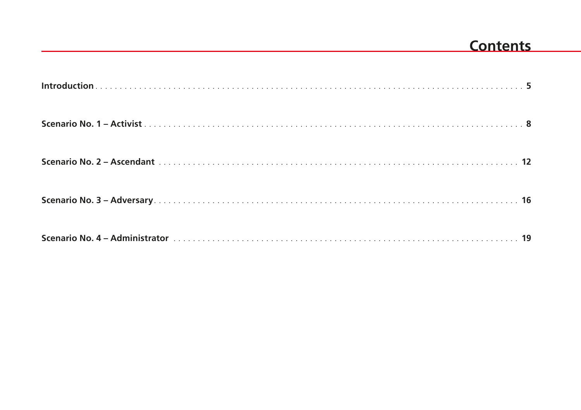### **Contents**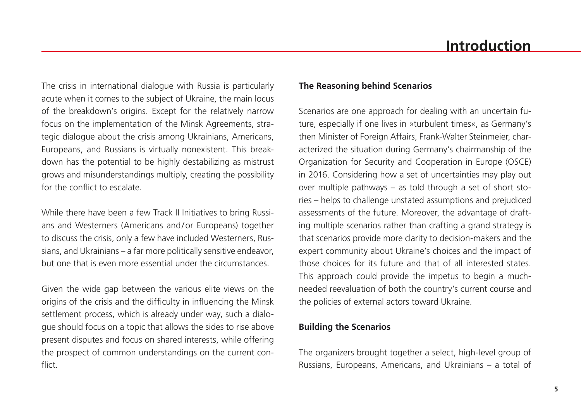The crisis in international dialogue with Russia is particularly acute when it comes to the subject of Ukraine, the main locus of the breakdown's origins. Except for the relatively narrow focus on the implementation of the Minsk Agreements, strategic dialogue about the crisis among Ukrainians, Americans, Europeans, and Russians is virtually nonexistent. This breakdown has the potential to be highly destabilizing as mistrust grows and misunderstandings multiply, creating the possibility for the conflict to escalate.

While there have been a few Track II Initiatives to bring Russians and Westerners (Americans and/or Europeans) together to discuss the crisis, only a few have included Westerners, Russians, and Ukrainians – a far more politically sensitive endeavor, but one that is even more essential under the circumstances.

Given the wide gap between the various elite views on the origins of the crisis and the difficulty in influencing the Minsk settlement process, which is already under way, such a dialogue should focus on a topic that allows the sides to rise above present disputes and focus on shared interests, while offering the prospect of common understandings on the current conflict.

### **The Reasoning behind Scenarios**

Scenarios are one approach for dealing with an uncertain future, especially if one lives in »turbulent times«, as Germany's then Minister of Foreign Affairs, Frank-Walter Steinmeier, characterized the situation during Germany's chairmanship of the Organization for Security and Cooperation in Europe (OSCE) in 2016. Considering how a set of uncertainties may play out over multiple pathways – as told through a set of short stories – helps to challenge unstated assumptions and prejudiced assessments of the future. Moreover, the advantage of drafting multiple scenarios rather than crafting a grand strategy is that scenarios provide more clarity to decision-makers and the expert community about Ukraine's choices and the impact of those choices for its future and that of all interested states. This approach could provide the impetus to begin a muchneeded reevaluation of both the country's current course and the policies of external actors toward Ukraine.

#### **Building the Scenarios**

The organizers brought together a select, high-level group of Russians, Europeans, Americans, and Ukrainians – a total of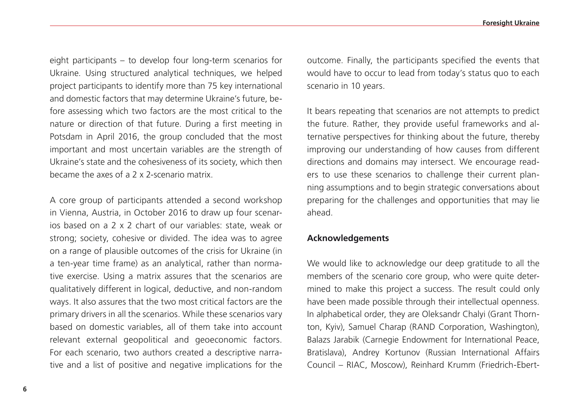eight participants – to develop four long-term scenarios for Ukraine. Using structured analytical techniques, we helped project participants to identify more than 75 key international and domestic factors that may determine Ukraine's future, before assessing which two factors are the most critical to the nature or direction of that future. During a first meeting in Potsdam in April 2016, the group concluded that the most important and most uncertain variables are the strength of Ukraine's state and the cohesiveness of its society, which then became the axes of a 2 x 2-scenario matrix.

A core group of participants attended a second workshop in Vienna, Austria, in October 2016 to draw up four scenarios based on a 2 x 2 chart of our variables: state, weak or strong; society, cohesive or divided. The idea was to agree on a range of plausible outcomes of the crisis for Ukraine (in a ten-year time frame) as an analytical, rather than normative exercise. Using a matrix assures that the scenarios are qualitatively different in logical, deductive, and non-random ways. It also assures that the two most critical factors are the primary drivers in all the scenarios. While these scenarios vary based on domestic variables, all of them take into account relevant external geopolitical and geoeconomic factors. For each scenario, two authors created a descriptive narrative and a list of positive and negative implications for the outcome. Finally, the participants specified the events that would have to occur to lead from today's status quo to each scenario in 10 years.

It bears repeating that scenarios are not attempts to predict the future. Rather, they provide useful frameworks and alternative perspectives for thinking about the future, thereby improving our understanding of how causes from different directions and domains may intersect. We encourage readers to use these scenarios to challenge their current planning assumptions and to begin strategic conversations about preparing for the challenges and opportunities that may lie ahead.

#### **Acknowledgements**

We would like to acknowledge our deep gratitude to all the members of the scenario core group, who were quite determined to make this project a success. The result could only have been made possible through their intellectual openness. In alphabetical order, they are Oleksandr Chalyi (Grant Thornton, Kyiv), Samuel Charap (RAND Corporation, Washington), Balazs Jarabik (Carnegie Endowment for International Peace, Bratislava), Andrey Kortunov (Russian International Affairs Council – RIAC, Moscow), Reinhard Krumm (Friedrich-Ebert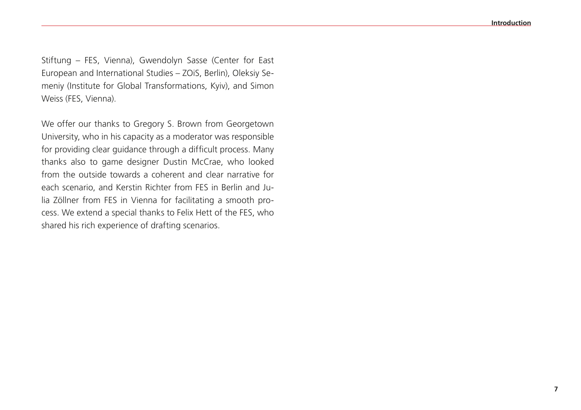Stiftung – FES, Vienna), Gwendolyn Sasse (Center for East European and International Studies – ZOiS, Berlin), Oleksiy Semeniy (Institute for Global Transformations, Kyiv), and Simon Weiss (FES, Vienna).

We offer our thanks to Gregory S. Brown from Georgetown University, who in his capacity as a moderator was responsible for providing clear guidance through a difficult process. Many thanks also to game designer Dustin McCrae, who looked from the outside towards a coherent and clear narrative for each scenario, and Kerstin Richter from FES in Berlin and Julia Zöllner from FES in Vienna for facilitating a smooth process. We extend a special thanks to Felix Hett of the FES, who shared his rich experience of drafting scenarios.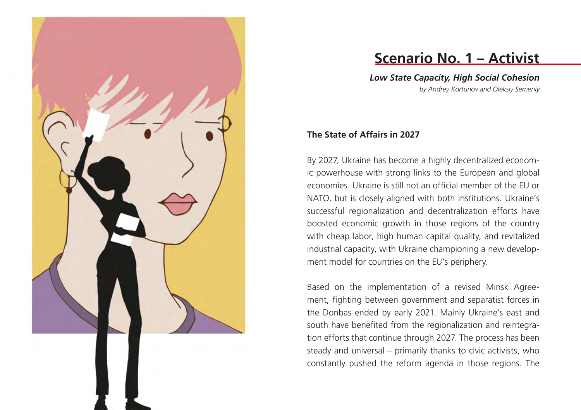

# **Scenario No. 1 – Activist**

*Low State Capacity, High Social Cohesion by Andrey Kortunov and Oleksiy Semeniy*

### **The State of Affairs in 2027**

By 2027, Ukraine has become a highly decentralized econom ic powerhouse with strong links to the European and global economies. Ukraine is still not an official member of the EU or NATO, but is closely aligned with both institutions. Ukraine's successful regionalization and decentralization efforts have boosted economic growth in those regions of the country with cheap labor, high human capital quality, and revitalized industrial capacity, with Ukraine championing a new develop ment model for countries on the EU's periphery.

Based on the implementation of a revised Minsk Agree ment, fighting between government and separatist forces in the Donbas ended by early 2021. Mainly Ukraine's east and south have benefited from the regionalization and reintegra tion efforts that continue through 2027. The process has been steady and universal – primarily thanks to civic activists, who constantly pushed the reform agenda in those regions. The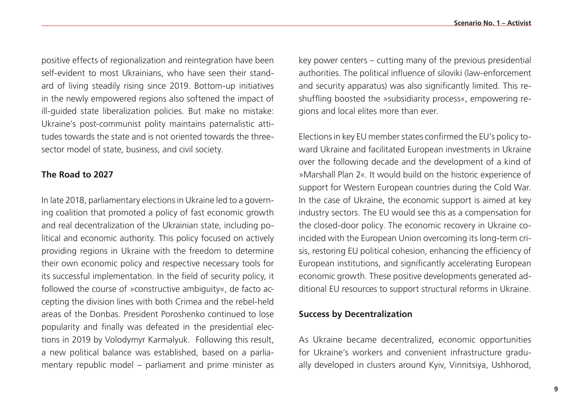positive effects of regionalization and reintegration have been

self-evident to most Ukrainians, who have seen their standard of living steadily rising since 2019. Bottom-up initiatives in the newly empowered regions also softened the impact of ill-guided state liberalization policies. But make no mistake: Ukraine's post-communist polity maintains paternalistic attitudes towards the state and is not oriented towards the threesector model of state, business, and civil society.

### **The Road to 2027**

In late 2018, parliamentary elections in Ukraine led to a governing coalition that promoted a policy of fast economic growth and real decentralization of the Ukrainian state, including political and economic authority. This policy focused on actively providing regions in Ukraine with the freedom to determine their own economic policy and respective necessary tools for its successful implementation. In the field of security policy, it followed the course of »constructive ambiguity«, de facto accepting the division lines with both Crimea and the rebel-held areas of the Donbas. President Poroshenko continued to lose popularity and finally was defeated in the presidential elections in 2019 by Volodymyr Karmalyuk. Following this result, a new political balance was established, based on a parliamentary republic model – parliament and prime minister as key power centers – cutting many of the previous presidential authorities. The political influence of siloviki (law-enforcement and security apparatus) was also significantly limited. This reshuffling boosted the »subsidiarity process«, empowering regions and local elites more than ever.

Elections in key EU member states confirmed the EU's policy toward Ukraine and facilitated European investments in Ukraine over the following decade and the development of a kind of »Marshall Plan 2«. It would build on the historic experience of support for Western European countries during the Cold War. In the case of Ukraine, the economic support is aimed at key industry sectors. The EU would see this as a compensation for the closed-door policy. The economic recovery in Ukraine coincided with the European Union overcoming its long-term crisis, restoring EU political cohesion, enhancing the efficiency of European institutions, and significantly accelerating European economic growth. These positive developments generated additional EU resources to support structural reforms in Ukraine.

#### **Success by Decentralization**

As Ukraine became decentralized, economic opportunities for Ukraine's workers and convenient infrastructure gradually developed in clusters around Kyiv, Vinnitsiya, Ushhorod,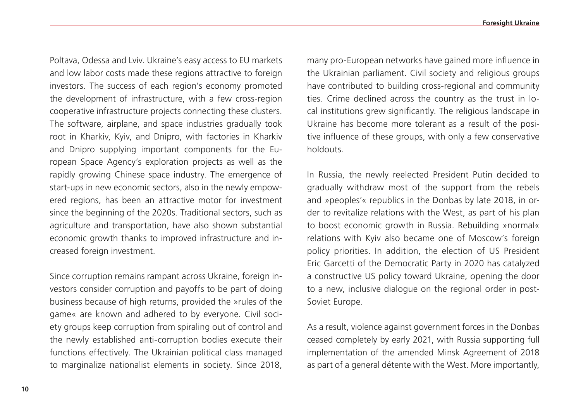Poltava, Odessa and Lviv. Ukraine's easy access to EU markets and low labor costs made these regions attractive to foreign investors. The success of each region's economy promoted the development of infrastructure, with a few cross-region cooperative infrastructure projects connecting these clusters. The software, airplane, and space industries gradually took root in Kharkiv, Kyiv, and Dnipro, with factories in Kharkiv and Dnipro supplying important components for the European Space Agency's exploration projects as well as the rapidly growing Chinese space industry. The emergence of start-ups in new economic sectors, also in the newly empowered regions, has been an attractive motor for investment since the beginning of the 2020s. Traditional sectors, such as agriculture and transportation, have also shown substantial economic growth thanks to improved infrastructure and increased foreign investment.

Since corruption remains rampant across Ukraine, foreign investors consider corruption and payoffs to be part of doing business because of high returns, provided the »rules of the game« are known and adhered to by everyone. Civil society groups keep corruption from spiraling out of control and the newly established anti-corruption bodies execute their functions effectively. The Ukrainian political class managed to marginalize nationalist elements in society. Since 2018, many pro-European networks have gained more influence in the Ukrainian parliament. Civil society and religious groups have contributed to building cross-regional and community ties. Crime declined across the country as the trust in local institutions grew significantly. The religious landscape in Ukraine has become more tolerant as a result of the positive influence of these groups, with only a few conservative holdouts.

In Russia, the newly reelected President Putin decided to gradually withdraw most of the support from the rebels and »peoples'« republics in the Donbas by late 2018, in order to revitalize relations with the West, as part of his plan to boost economic growth in Russia. Rebuilding »normal« relations with Kyiv also became one of Moscow's foreign policy priorities. In addition, the election of US President Eric Garcetti of the Democratic Party in 2020 has catalyzed a constructive US policy toward Ukraine, opening the door to a new, inclusive dialogue on the regional order in post-Soviet Europe.

As a result, violence against government forces in the Donbas ceased completely by early 2021, with Russia supporting full implementation of the amended Minsk Agreement of 2018 as part of a general détente with the West. More importantly,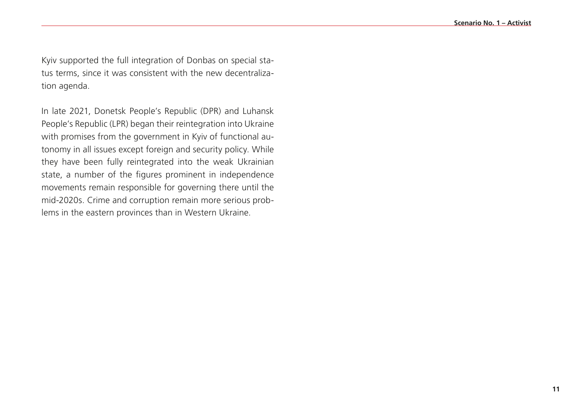Kyiv supported the full integration of Donbas on special status terms, since it was consistent with the new decentralization agenda.

In late 2021, Donetsk People's Republic (DPR) and Luhansk People's Republic (LPR) began their reintegration into Ukraine with promises from the government in Kyiv of functional autonomy in all issues except foreign and security policy. While they have been fully reintegrated into the weak Ukrainian state, a number of the figures prominent in independence movements remain responsible for governing there until the mid-2020s. Crime and corruption remain more serious problems in the eastern provinces than in Western Ukraine.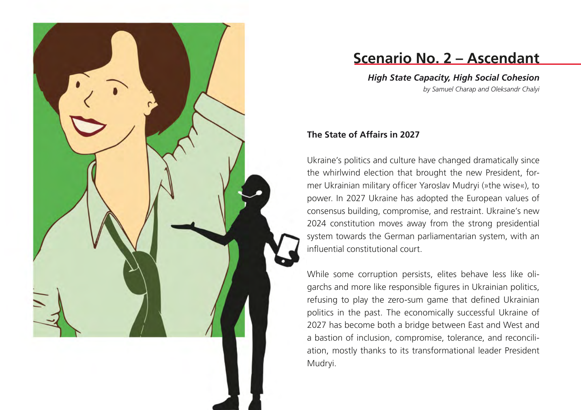

### **Scenario No. 2 – Ascendant**

*High State Capacity, High Social Cohesion by Samuel Charap and Oleksandr Chalyi*

#### **The State of Affairs in 2027**

Ukraine's politics and culture have changed dramatically since the whirlwind election that brought the new President, for mer Ukrainian military officer Yaroslav Mudryi ( »the wise «), to power. In 2027 Ukraine has adopted the European values of consensus building, compromise, and restraint. Ukraine's new 2024 constitution moves away from the strong presidential system towards the German parliamentarian system, with an influential constitutional court.

While some corruption persists, elites behave less like oli garchs and more like responsible figures in Ukrainian politics, refusing to play the zero-sum game that defined Ukrainian politics in the past. The economically successful Ukraine of 2027 has become both a bridge between East and West and a bastion of inclusion, compromise, tolerance, and reconcili ation, mostly thanks to its transformational leader President Mudryi.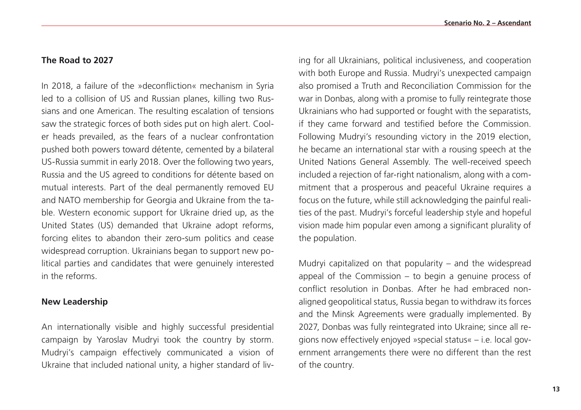#### **The Road to 2027**

In 2018, a failure of the »deconfliction« mechanism in Syria led to a collision of US and Russian planes, killing two Russians and one American. The resulting escalation of tensions saw the strategic forces of both sides put on high alert. Cooler heads prevailed, as the fears of a nuclear confrontation pushed both powers toward détente, cemented by a bilateral US-Russia summit in early 2018. Over the following two years, Russia and the US agreed to conditions for détente based on mutual interests. Part of the deal permanently removed EU and NATO membership for Georgia and Ukraine from the table. Western economic support for Ukraine dried up, as the United States (US) demanded that Ukraine adopt reforms, forcing elites to abandon their zero-sum politics and cease widespread corruption. Ukrainians began to support new political parties and candidates that were genuinely interested in the reforms.

#### **New Leadership**

An internationally visible and highly successful presidential campaign by Yaroslav Mudryi took the country by storm. Mudryi's campaign effectively communicated a vision of Ukraine that included national unity, a higher standard of living for all Ukrainians, political inclusiveness, and cooperation with both Europe and Russia. Mudryi's unexpected campaign also promised a Truth and Reconciliation Commission for the war in Donbas, along with a promise to fully reintegrate those Ukrainians who had supported or fought with the separatists, if they came forward and testified before the Commission. Following Mudryi's resounding victory in the 2019 election, he became an international star with a rousing speech at the United Nations General Assembly. The well-received speech included a rejection of far-right nationalism, along with a commitment that a prosperous and peaceful Ukraine requires a focus on the future, while still acknowledging the painful realities of the past. Mudryi's forceful leadership style and hopeful vision made him popular even among a significant plurality of the population.

Mudryi capitalized on that popularity – and the widespread appeal of the Commission – to begin a genuine process of conflict resolution in Donbas. After he had embraced nonaligned geopolitical status, Russia began to withdraw its forces and the Minsk Agreements were gradually implemented. By 2027, Donbas was fully reintegrated into Ukraine; since all regions now effectively enjoyed »special status« – i.e. local government arrangements there were no different than the rest of the country.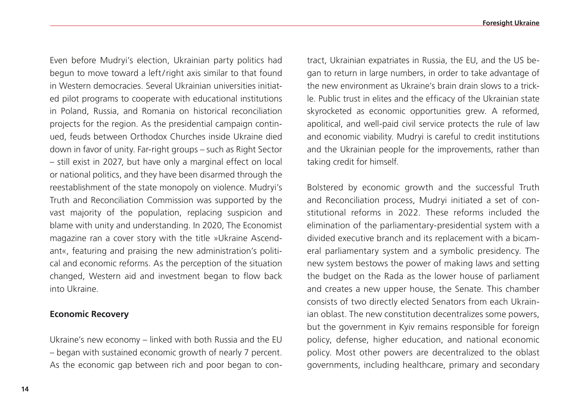Even before Mudryi's election, Ukrainian party politics had begun to move toward a left/right axis similar to that found in Western democracies. Several Ukrainian universities initiated pilot programs to cooperate with educational institutions in Poland, Russia, and Romania on historical reconciliation projects for the region. As the presidential campaign continued, feuds between Orthodox Churches inside Ukraine died down in favor of unity. Far-right groups – such as Right Sector – still exist in 2027, but have only a marginal effect on local or national politics, and they have been disarmed through the reestablishment of the state monopoly on violence. Mudryi's Truth and Reconciliation Commission was supported by the vast majority of the population, replacing suspicion and blame with unity and understanding. In 2020, The Economist magazine ran a cover story with the title »Ukraine Ascendant«, featuring and praising the new administration's political and economic reforms. As the perception of the situation changed, Western aid and investment began to flow back into Ukraine.

#### **Economic Recovery**

Ukraine's new economy – linked with both Russia and the EU – began with sustained economic growth of nearly 7 percent. As the economic gap between rich and poor began to contract, Ukrainian expatriates in Russia, the EU, and the US began to return in large numbers, in order to take advantage of the new environment as Ukraine's brain drain slows to a trickle. Public trust in elites and the efficacy of the Ukrainian state skyrocketed as economic opportunities grew. A reformed, apolitical, and well-paid civil service protects the rule of law and economic viability. Mudryi is careful to credit institutions and the Ukrainian people for the improvements, rather than taking credit for himself.

Bolstered by economic growth and the successful Truth and Reconciliation process, Mudryi initiated a set of constitutional reforms in 2022. These reforms included the elimination of the parliamentary-presidential system with a divided executive branch and its replacement with a bicameral parliamentary system and a symbolic presidency. The new system bestows the power of making laws and setting the budget on the Rada as the lower house of parliament and creates a new upper house, the Senate. This chamber consists of two directly elected Senators from each Ukrainian oblast. The new constitution decentralizes some powers, but the government in Kyiv remains responsible for foreign policy, defense, higher education, and national economic policy. Most other powers are decentralized to the oblast governments, including healthcare, primary and secondary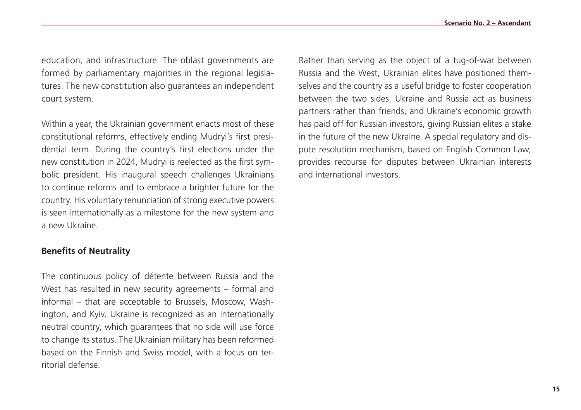education, and infrastructure. The oblast governments are formed by parliamentary majorities in the regional legislatures. The new constitution also guarantees an independent court system.

Within a year, the Ukrainian government enacts most of these constitutional reforms, effectively ending Mudryi's first presidential term. During the country's first elections under the new constitution in 2024, Mudryi is reelected as the first symbolic president. His inaugural speech challenges Ukrainians to continue reforms and to embrace a brighter future for the country. His voluntary renunciation of strong executive powers is seen internationally as a milestone for the new system and a new Ukraine.

#### **Benefits of Neutrality**

The continuous policy of détente between Russia and the West has resulted in new security agreements – formal and informal – that are acceptable to Brussels, Moscow, Washington, and Kyiv. Ukraine is recognized as an internationally neutral country, which guarantees that no side will use force to change its status. The Ukrainian military has been reformed based on the Finnish and Swiss model, with a focus on territorial defense.

Rather than serving as the object of a tug-of-war between Russia and the West, Ukrainian elites have positioned themselves and the country as a useful bridge to foster cooperation between the two sides. Ukraine and Russia act as business partners rather than friends, and Ukraine's economic growth has paid off for Russian investors, giving Russian elites a stake in the future of the new Ukraine. A special regulatory and dispute resolution mechanism, based on English Common Law, provides recourse for disputes between Ukrainian interests and international investors.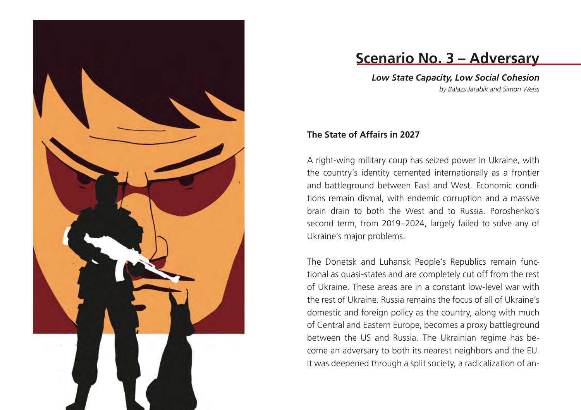

# **Scenario No. 3 – Adversary**

*Low State Capacity, Low Social Cohesion by Balazs Jarabik and Simon Weiss*

### **The State of Affairs in 2027**

A right-wing military coup has seized power in Ukraine, with the country's identity cemented internationally as a frontier and battleground between East and West. Economic conditions remain dismal, with endemic corruption and a massive brain drain to both the West and to Russia. Poroshenko's second term, from 2019–2024, largely failed to solve any of Ukraine's major problems.

The Donetsk and Luhansk People's Republics remain functional as quasi-states and are completely cut off from the rest of Ukraine. These areas are in a constant low-level war with the rest of Ukraine. Russia remains the focus of all of Ukraine's domestic and foreign policy as the country, along with much of Central and Eastern Europe, becomes a proxy battleground between the US and Russia. The Ukrainian regime has become an adversary to both its nearest neighbors and the EU. It was deepened through a split society, a radicalization of an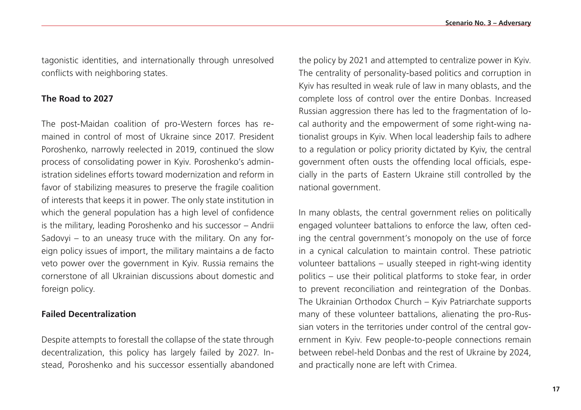tagonistic identities, and internationally through unresolved conflicts with neighboring states.

#### **The Road to 2027**

The post-Maidan coalition of pro-Western forces has remained in control of most of Ukraine since 2017. President Poroshenko, narrowly reelected in 2019, continued the slow process of consolidating power in Kyiv. Poroshenko's administration sidelines efforts toward modernization and reform in favor of stabilizing measures to preserve the fragile coalition of interests that keeps it in power. The only state institution in which the general population has a high level of confidence is the military, leading Poroshenko and his successor – Andrii Sadovyi – to an uneasy truce with the military. On any foreign policy issues of import, the military maintains a de facto veto power over the government in Kyiv. Russia remains the cornerstone of all Ukrainian discussions about domestic and foreign policy.

### **Failed Decentralization**

Despite attempts to forestall the collapse of the state through decentralization, this policy has largely failed by 2027. Instead, Poroshenko and his successor essentially abandoned the policy by 2021 and attempted to centralize power in Kyiv. The centrality of personality-based politics and corruption in Kyiv has resulted in weak rule of law in many oblasts, and the complete loss of control over the entire Donbas. Increased Russian aggression there has led to the fragmentation of local authority and the empowerment of some right-wing nationalist groups in Kyiv. When local leadership fails to adhere to a regulation or policy priority dictated by Kyiv, the central government often ousts the offending local officials, especially in the parts of Eastern Ukraine still controlled by the national government.

In many oblasts, the central government relies on politically engaged volunteer battalions to enforce the law, often ceding the central government's monopoly on the use of force in a cynical calculation to maintain control. These patriotic volunteer battalions – usually steeped in right-wing identity politics – use their political platforms to stoke fear, in order to prevent reconciliation and reintegration of the Donbas. The Ukrainian Orthodox Church – Kyiv Patriarchate supports many of these volunteer battalions, alienating the pro-Russian voters in the territories under control of the central government in Kyiv. Few people-to-people connections remain between rebel-held Donbas and the rest of Ukraine by 2024, and practically none are left with Crimea.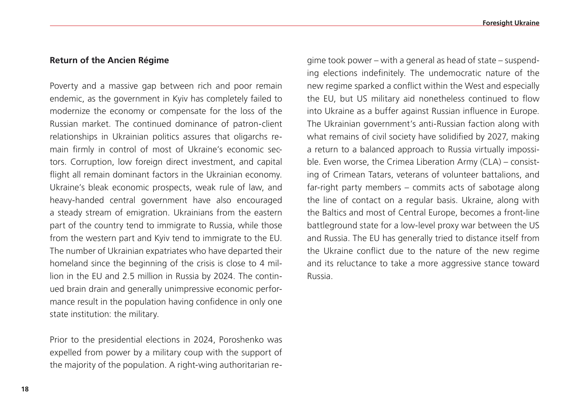#### **Return of the Ancien Régime**

Poverty and a massive gap between rich and poor remain endemic, as the government in Kyiv has completely failed to modernize the economy or compensate for the loss of the Russian market. The continued dominance of patron-client relationships in Ukrainian politics assures that oligarchs remain firmly in control of most of Ukraine's economic sectors. Corruption, low foreign direct investment, and capital flight all remain dominant factors in the Ukrainian economy. Ukraine's bleak economic prospects, weak rule of law, and heavy-handed central government have also encouraged a steady stream of emigration. Ukrainians from the eastern part of the country tend to immigrate to Russia, while those from the western part and Kyiv tend to immigrate to the EU. The number of Ukrainian expatriates who have departed their homeland since the beginning of the crisis is close to 4 million in the EU and 2.5 million in Russia by 2024. The continued brain drain and generally unimpressive economic performance result in the population having confidence in only one state institution: the military.

Prior to the presidential elections in 2024, Poroshenko was expelled from power by a military coup with the support of the majority of the population. A right-wing authoritarian regime took power – with a general as head of state – suspending elections indefinitely. The undemocratic nature of the new regime sparked a conflict within the West and especially the EU, but US military aid nonetheless continued to flow into Ukraine as a buffer against Russian influence in Europe. The Ukrainian government's anti-Russian faction along with what remains of civil society have solidified by 2027, making a return to a balanced approach to Russia virtually impossible. Even worse, the Crimea Liberation Army (CLA) – consisting of Crimean Tatars, veterans of volunteer battalions, and far-right party members – commits acts of sabotage along the line of contact on a regular basis. Ukraine, along with the Baltics and most of Central Europe, becomes a front-line battleground state for a low-level proxy war between the US and Russia. The EU has generally tried to distance itself from the Ukraine conflict due to the nature of the new regime and its reluctance to take a more aggressive stance toward Russia.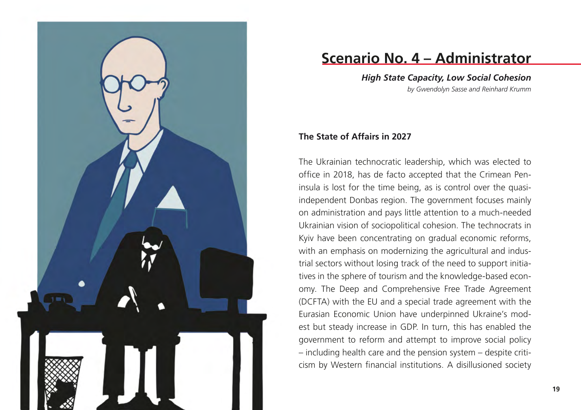

# **Scenario No. 4 – Administrator**

*High State Capacity, Low Social Cohesion by Gwendolyn Sasse and Reinhard Krumm*

#### **The State of Affairs in 2027**

The Ukrainian technocratic leadership, which was elected to office in 2018, has de facto accepted that the Crimean Peninsula is lost for the time being, as is control over the quasiindependent Donbas region. The government focuses mainly on administration and pays little attention to a much-needed Ukrainian vision of sociopolitical cohesion. The technocrats in Kyiv have been concentrating on gradual economic reforms, with an emphasis on modernizing the agricultural and industrial sectors without losing track of the need to support initiatives in the sphere of tourism and the knowledge-based economy. The Deep and Comprehensive Free Trade Agreement (DCFTA) with the EU and a special trade agreement with the Eurasian Economic Union have underpinned Ukraine's modest but steady increase in GDP. In turn, this has enabled the government to reform and attempt to improve social policy – including health care and the pension system – despite criticism by Western financial institutions. A disillusioned society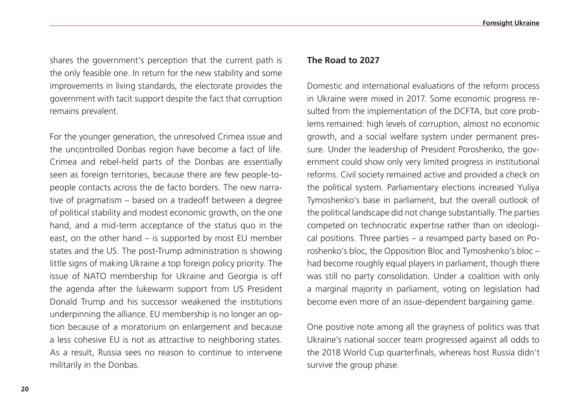shares the government's perception that the current path is the only feasible one. In return for the new stability and some improvements in living standards, the electorate provides the government with tacit support despite the fact that corruption remains prevalent.

For the younger generation, the unresolved Crimea issue and the uncontrolled Donbas region have become a fact of life. Crimea and rebel-held parts of the Donbas are essentially seen as foreign territories, because there are few people-topeople contacts across the de facto borders. The new narrative of pragmatism – based on a tradeoff between a degree of political stability and modest economic growth, on the one hand, and a mid-term acceptance of the status quo in the east, on the other hand – is supported by most EU member states and the US. The post-Trump administration is showing little signs of making Ukraine a top foreign policy priority. The issue of NATO membership for Ukraine and Georgia is off the agenda after the lukewarm support from US President Donald Trump and his successor weakened the institutions underpinning the alliance. EU membership is no longer an option because of a moratorium on enlargement and because a less cohesive EU is not as attractive to neighboring states. As a result, Russia sees no reason to continue to intervene militarily in the Donbas.

#### **The Road to 2027**

Domestic and international evaluations of the reform process in Ukraine were mixed in 2017. Some economic progress resulted from the implementation of the DCFTA, but core problems remained: high levels of corruption, almost no economic growth, and a social welfare system under permanent pressure. Under the leadership of President Poroshenko, the government could show only very limited progress in institutional reforms. Civil society remained active and provided a check on the political system. Parliamentary elections increased Yuliya Tymoshenko's base in parliament, but the overall outlook of the political landscape did not change substantially. The parties competed on technocratic expertise rather than on ideological positions. Three parties – a revamped party based on Poroshenko's bloc, the Opposition Bloc and Tymoshenko's bloc – had become roughly equal players in parliament, though there was still no party consolidation. Under a coalition with only a marginal majority in parliament, voting on legislation had become even more of an issue-dependent bargaining game.

One positive note among all the grayness of politics was that Ukraine's national soccer team progressed against all odds to the 2018 World Cup quarterfinals, whereas host Russia didn't survive the group phase.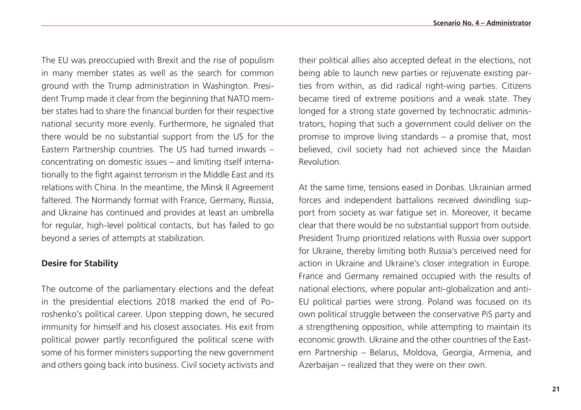The EU was preoccupied with Brexit and the rise of populism in many member states as well as the search for common ground with the Trump administration in Washington. President Trump made it clear from the beginning that NATO member states had to share the financial burden for their respective national security more evenly. Furthermore, he signaled that there would be no substantial support from the US for the Eastern Partnership countries. The US had turned inwards – concentrating on domestic issues – and limiting itself internationally to the fight against terrorism in the Middle East and its relations with China. In the meantime, the Minsk II Agreement faltered. The Normandy format with France, Germany, Russia, and Ukraine has continued and provides at least an umbrella for regular, high-level political contacts, but has failed to go beyond a series of attempts at stabilization.

#### **Desire for Stability**

The outcome of the parliamentary elections and the defeat in the presidential elections 2018 marked the end of Poroshenko's political career. Upon stepping down, he secured immunity for himself and his closest associates. His exit from political power partly reconfigured the political scene with some of his former ministers supporting the new government and others going back into business. Civil society activists and their political allies also accepted defeat in the elections, not being able to launch new parties or rejuvenate existing parties from within, as did radical right-wing parties. Citizens became tired of extreme positions and a weak state. They longed for a strong state governed by technocratic administrators, hoping that such a government could deliver on the promise to improve living standards – a promise that, most believed, civil society had not achieved since the Maidan Revolution.

At the same time, tensions eased in Donbas. Ukrainian armed forces and independent battalions received dwindling support from society as war fatigue set in. Moreover, it became clear that there would be no substantial support from outside. President Trump prioritized relations with Russia over support for Ukraine, thereby limiting both Russia's perceived need for action in Ukraine and Ukraine's closer integration in Europe. France and Germany remained occupied with the results of national elections, where popular anti-globalization and anti-EU political parties were strong. Poland was focused on its own political struggle between the conservative PiS party and a strengthening opposition, while attempting to maintain its economic growth. Ukraine and the other countries of the Eastern Partnership – Belarus, Moldova, Georgia, Armenia, and Azerbaijan – realized that they were on their own.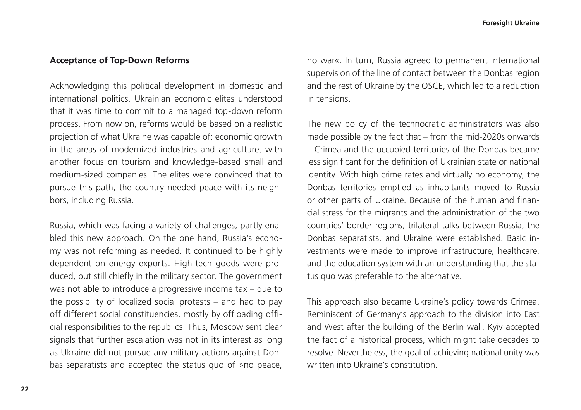#### **Acceptance of Top-Down Reforms**

Acknowledging this political development in domestic and international politics, Ukrainian economic elites understood that it was time to commit to a managed top-down reform process. From now on, reforms would be based on a realistic projection of what Ukraine was capable of: economic growth in the areas of modernized industries and agriculture, with another focus on tourism and knowledge-based small and medium-sized companies. The elites were convinced that to pursue this path, the country needed peace with its neighbors, including Russia.

Russia, which was facing a variety of challenges, partly enabled this new approach. On the one hand, Russia's economy was not reforming as needed. It continued to be highly dependent on energy exports. High-tech goods were produced, but still chiefly in the military sector. The government was not able to introduce a progressive income tax – due to the possibility of localized social protests – and had to pay off different social constituencies, mostly by offloading official responsibilities to the republics. Thus, Moscow sent clear signals that further escalation was not in its interest as long as Ukraine did not pursue any military actions against Donbas separatists and accepted the status quo of »no peace,

no war«. In turn, Russia agreed to permanent international supervision of the line of contact between the Donbas region and the rest of Ukraine by the OSCE, which led to a reduction in tensions.

The new policy of the technocratic administrators was also made possible by the fact that – from the mid-2020s onwards – Crimea and the occupied territories of the Donbas became less significant for the definition of Ukrainian state or national identity. With high crime rates and virtually no economy, the Donbas territories emptied as inhabitants moved to Russia or other parts of Ukraine. Because of the human and financial stress for the migrants and the administration of the two countries' border regions, trilateral talks between Russia, the Donbas separatists, and Ukraine were established. Basic investments were made to improve infrastructure, healthcare, and the education system with an understanding that the status quo was preferable to the alternative.

This approach also became Ukraine's policy towards Crimea. Reminiscent of Germany's approach to the division into East and West after the building of the Berlin wall, Kyiv accepted the fact of a historical process, which might take decades to resolve. Nevertheless, the goal of achieving national unity was written into Ukraine's constitution.